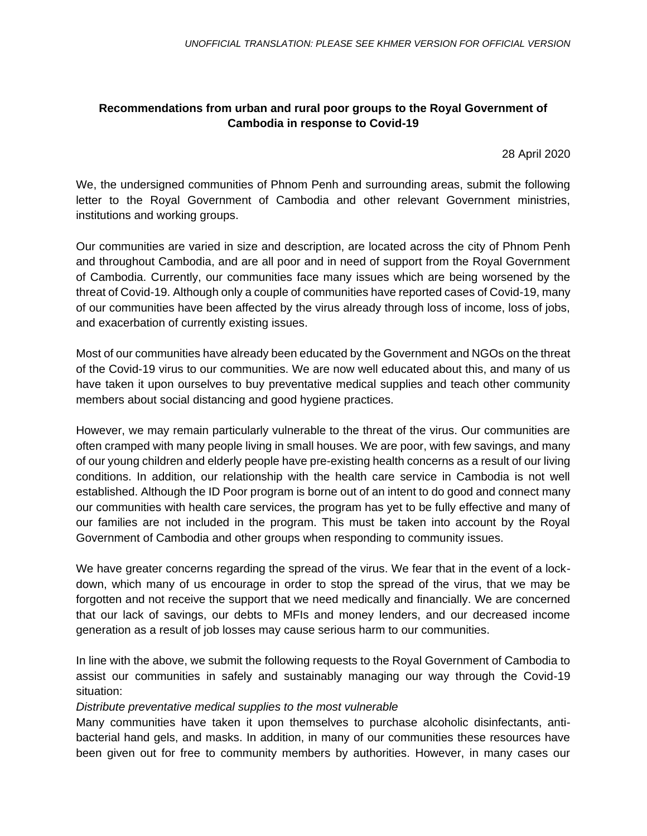# **Recommendations from urban and rural poor groups to the Royal Government of Cambodia in response to Covid-19**

28 April 2020

We, the undersigned communities of Phnom Penh and surrounding areas, submit the following letter to the Royal Government of Cambodia and other relevant Government ministries, institutions and working groups.

Our communities are varied in size and description, are located across the city of Phnom Penh and throughout Cambodia, and are all poor and in need of support from the Royal Government of Cambodia. Currently, our communities face many issues which are being worsened by the threat of Covid-19. Although only a couple of communities have reported cases of Covid-19, many of our communities have been affected by the virus already through loss of income, loss of jobs, and exacerbation of currently existing issues.

Most of our communities have already been educated by the Government and NGOs on the threat of the Covid-19 virus to our communities. We are now well educated about this, and many of us have taken it upon ourselves to buy preventative medical supplies and teach other community members about social distancing and good hygiene practices.

However, we may remain particularly vulnerable to the threat of the virus. Our communities are often cramped with many people living in small houses. We are poor, with few savings, and many of our young children and elderly people have pre-existing health concerns as a result of our living conditions. In addition, our relationship with the health care service in Cambodia is not well established. Although the ID Poor program is borne out of an intent to do good and connect many our communities with health care services, the program has yet to be fully effective and many of our families are not included in the program. This must be taken into account by the Royal Government of Cambodia and other groups when responding to community issues.

We have greater concerns regarding the spread of the virus. We fear that in the event of a lockdown, which many of us encourage in order to stop the spread of the virus, that we may be forgotten and not receive the support that we need medically and financially. We are concerned that our lack of savings, our debts to MFIs and money lenders, and our decreased income generation as a result of job losses may cause serious harm to our communities.

In line with the above, we submit the following requests to the Royal Government of Cambodia to assist our communities in safely and sustainably managing our way through the Covid-19 situation:

# *Distribute preventative medical supplies to the most vulnerable*

Many communities have taken it upon themselves to purchase alcoholic disinfectants, antibacterial hand gels, and masks. In addition, in many of our communities these resources have been given out for free to community members by authorities. However, in many cases our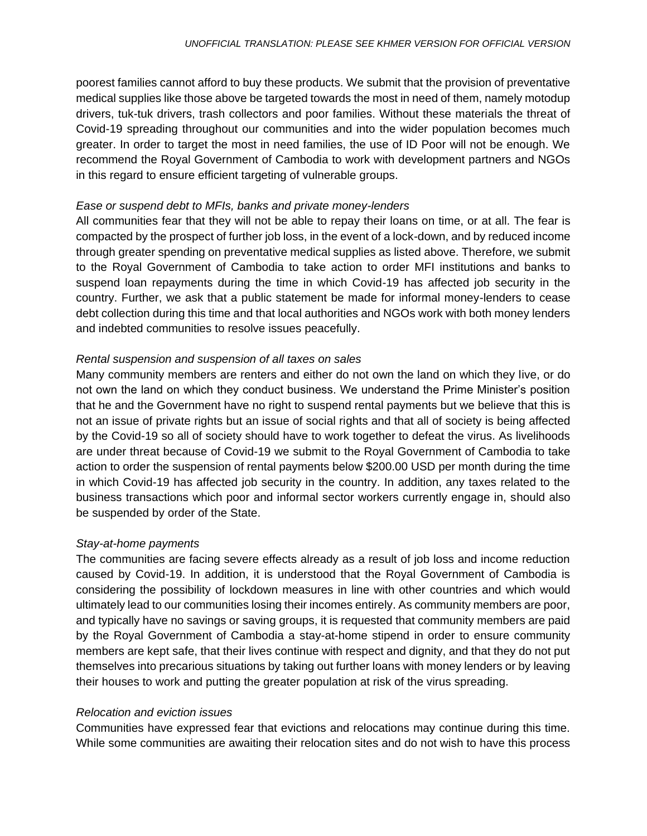poorest families cannot afford to buy these products. We submit that the provision of preventative medical supplies like those above be targeted towards the most in need of them, namely motodup drivers, tuk-tuk drivers, trash collectors and poor families. Without these materials the threat of Covid-19 spreading throughout our communities and into the wider population becomes much greater. In order to target the most in need families, the use of ID Poor will not be enough. We recommend the Royal Government of Cambodia to work with development partners and NGOs in this regard to ensure efficient targeting of vulnerable groups.

#### *Ease or suspend debt to MFIs, banks and private money-lenders*

All communities fear that they will not be able to repay their loans on time, or at all. The fear is compacted by the prospect of further job loss, in the event of a lock-down, and by reduced income through greater spending on preventative medical supplies as listed above. Therefore, we submit to the Royal Government of Cambodia to take action to order MFI institutions and banks to suspend loan repayments during the time in which Covid-19 has affected job security in the country. Further, we ask that a public statement be made for informal money-lenders to cease debt collection during this time and that local authorities and NGOs work with both money lenders and indebted communities to resolve issues peacefully.

# *Rental suspension and suspension of all taxes on sales*

Many community members are renters and either do not own the land on which they live, or do not own the land on which they conduct business. We understand the Prime Minister's position that he and the Government have no right to suspend rental payments but we believe that this is not an issue of private rights but an issue of social rights and that all of society is being affected by the Covid-19 so all of society should have to work together to defeat the virus. As livelihoods are under threat because of Covid-19 we submit to the Royal Government of Cambodia to take action to order the suspension of rental payments below \$200.00 USD per month during the time in which Covid-19 has affected job security in the country. In addition, any taxes related to the business transactions which poor and informal sector workers currently engage in, should also be suspended by order of the State.

# *Stay-at-home payments*

The communities are facing severe effects already as a result of job loss and income reduction caused by Covid-19. In addition, it is understood that the Royal Government of Cambodia is considering the possibility of lockdown measures in line with other countries and which would ultimately lead to our communities losing their incomes entirely. As community members are poor, and typically have no savings or saving groups, it is requested that community members are paid by the Royal Government of Cambodia a stay-at-home stipend in order to ensure community members are kept safe, that their lives continue with respect and dignity, and that they do not put themselves into precarious situations by taking out further loans with money lenders or by leaving their houses to work and putting the greater population at risk of the virus spreading.

#### *Relocation and eviction issues*

Communities have expressed fear that evictions and relocations may continue during this time. While some communities are awaiting their relocation sites and do not wish to have this process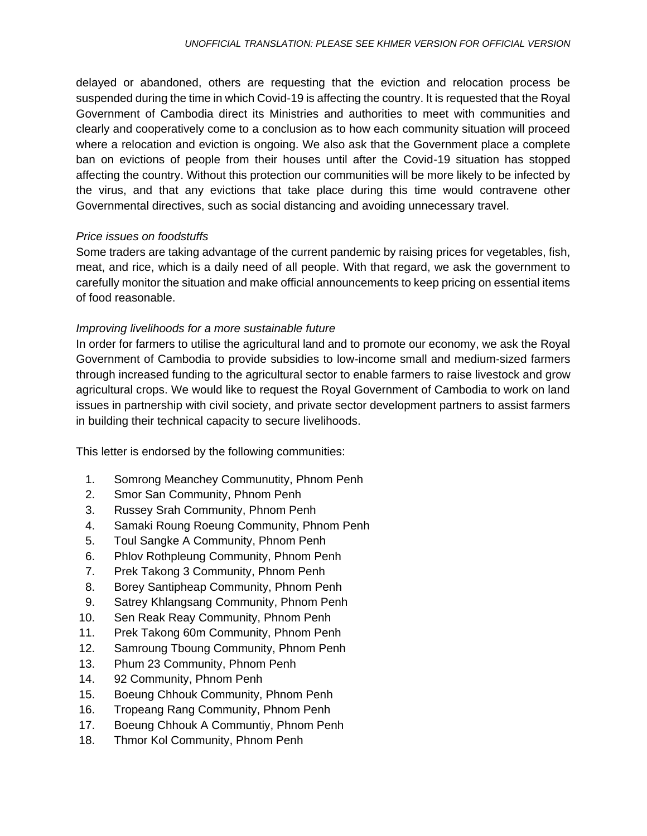delayed or abandoned, others are requesting that the eviction and relocation process be suspended during the time in which Covid-19 is affecting the country. It is requested that the Royal Government of Cambodia direct its Ministries and authorities to meet with communities and clearly and cooperatively come to a conclusion as to how each community situation will proceed where a relocation and eviction is ongoing. We also ask that the Government place a complete ban on evictions of people from their houses until after the Covid-19 situation has stopped affecting the country. Without this protection our communities will be more likely to be infected by the virus, and that any evictions that take place during this time would contravene other Governmental directives, such as social distancing and avoiding unnecessary travel.

### *Price issues on foodstuffs*

Some traders are taking advantage of the current pandemic by raising prices for vegetables, fish, meat, and rice, which is a daily need of all people. With that regard, we ask the government to carefully monitor the situation and make official announcements to keep pricing on essential items of food reasonable.

### *Improving livelihoods for a more sustainable future*

In order for farmers to utilise the agricultural land and to promote our economy, we ask the Royal Government of Cambodia to provide subsidies to low-income small and medium-sized farmers through increased funding to the agricultural sector to enable farmers to raise livestock and grow agricultural crops. We would like to request the Royal Government of Cambodia to work on land issues in partnership with civil society, and private sector development partners to assist farmers in building their technical capacity to secure livelihoods.

This letter is endorsed by the following communities:

- 1. Somrong Meanchey Communutity, Phnom Penh
- 2. Smor San Community, Phnom Penh
- 3. Russey Srah Community, Phnom Penh
- 4. Samaki Roung Roeung Community, Phnom Penh
- 5. Toul Sangke A Community, Phnom Penh
- 6. Phlov Rothpleung Community, Phnom Penh
- 7. Prek Takong 3 Community, Phnom Penh
- 8. Borey Santipheap Community, Phnom Penh
- 9. Satrey Khlangsang Community, Phnom Penh
- 10. Sen Reak Reay Community, Phnom Penh
- 11. Prek Takong 60m Community, Phnom Penh
- 12. Samroung Tboung Community, Phnom Penh
- 13. Phum 23 Community, Phnom Penh
- 14. 92 Community, Phnom Penh
- 15. Boeung Chhouk Community, Phnom Penh
- 16. Tropeang Rang Community, Phnom Penh
- 17. Boeung Chhouk A Communtiy, Phnom Penh
- 18. Thmor Kol Community, Phnom Penh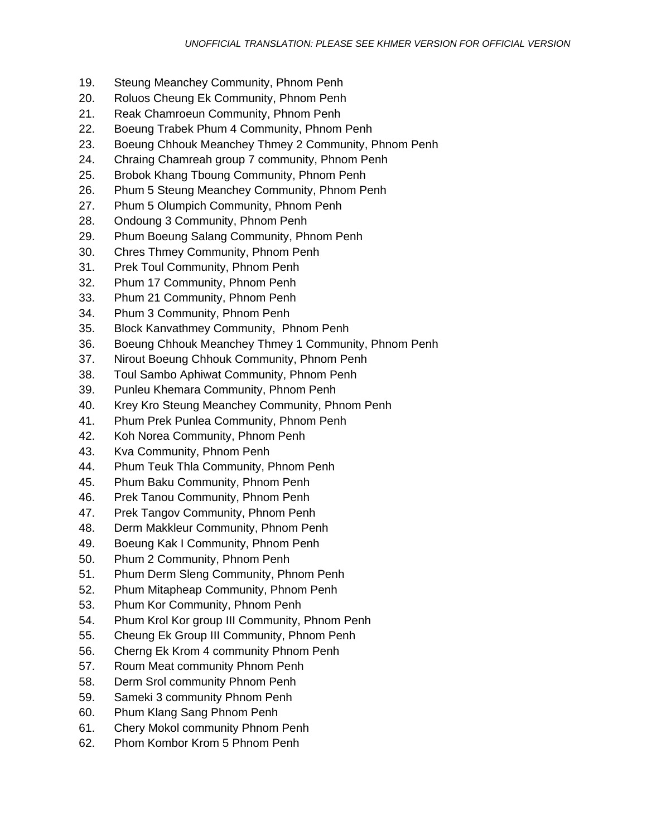- 19. Steung Meanchey Community, Phnom Penh
- 20. Roluos Cheung Ek Community, Phnom Penh
- 21. Reak Chamroeun Community, Phnom Penh
- 22. Boeung Trabek Phum 4 Community, Phnom Penh
- 23. Boeung Chhouk Meanchey Thmey 2 Community, Phnom Penh
- 24. Chraing Chamreah group 7 community, Phnom Penh
- 25. Brobok Khang Tboung Community, Phnom Penh
- 26. Phum 5 Steung Meanchey Community, Phnom Penh
- 27. Phum 5 Olumpich Community, Phnom Penh
- 28. Ondoung 3 Community, Phnom Penh
- 29. Phum Boeung Salang Community, Phnom Penh
- 30. Chres Thmey Community, Phnom Penh
- 31. Prek Toul Community, Phnom Penh
- 32. Phum 17 Community, Phnom Penh
- 33. Phum 21 Community, Phnom Penh
- 34. Phum 3 Community, Phnom Penh
- 35. Block Kanvathmey Community, Phnom Penh
- 36. Boeung Chhouk Meanchey Thmey 1 Community, Phnom Penh
- 37. Nirout Boeung Chhouk Community, Phnom Penh
- 38. Toul Sambo Aphiwat Community, Phnom Penh
- 39. Punleu Khemara Community, Phnom Penh
- 40. Krey Kro Steung Meanchey Community, Phnom Penh
- 41. Phum Prek Punlea Community, Phnom Penh
- 42. Koh Norea Community, Phnom Penh
- 43. Kva Community, Phnom Penh
- 44. Phum Teuk Thla Community, Phnom Penh
- 45. Phum Baku Community, Phnom Penh
- 46. Prek Tanou Community, Phnom Penh
- 47. Prek Tangov Community, Phnom Penh
- 48. Derm Makkleur Community, Phnom Penh
- 49. Boeung Kak I Community, Phnom Penh
- 50. Phum 2 Community, Phnom Penh
- 51. Phum Derm Sleng Community, Phnom Penh
- 52. Phum Mitapheap Community, Phnom Penh
- 53. Phum Kor Community, Phnom Penh
- 54. Phum Krol Kor group III Community, Phnom Penh
- 55. Cheung Ek Group III Community, Phnom Penh
- 56. Cherng Ek Krom 4 community Phnom Penh
- 57. Roum Meat community Phnom Penh
- 58. Derm Srol community Phnom Penh
- 59. Sameki 3 community Phnom Penh
- 60. Phum Klang Sang Phnom Penh
- 61. Chery Mokol community Phnom Penh
- 62. Phom Kombor Krom 5 Phnom Penh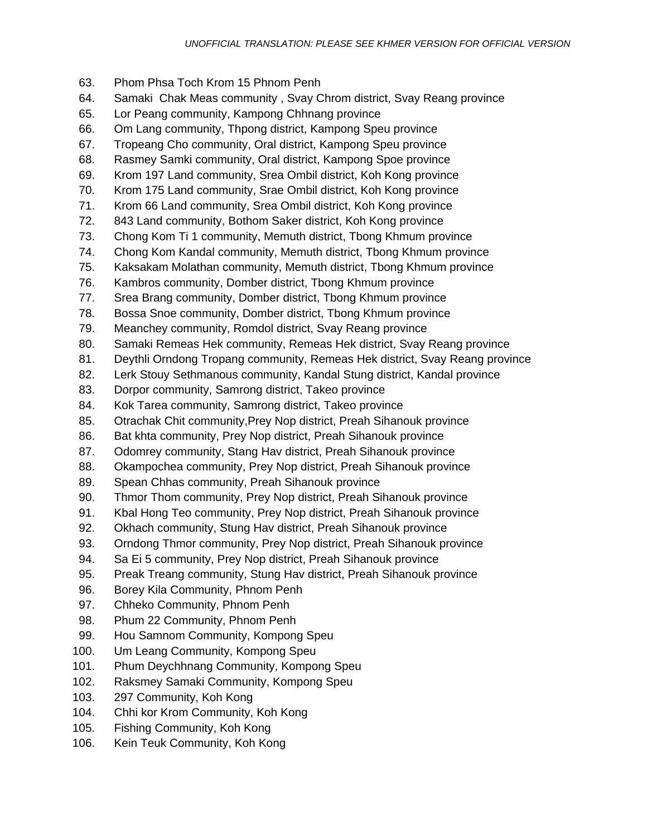- 63. Phom Phsa Toch Krom 15 Phnom Penh
- 64. Samaki Chak Meas community , Svay Chrom district, Svay Reang province
- 65. Lor Peang community, Kampong Chhnang province
- 66. Om Lang community, Thpong district, Kampong Speu province
- 67. Tropeang Cho community, Oral district, Kampong Speu province
- 68. Rasmey Samki community, Oral district, Kampong Spoe province
- 69. Krom 197 Land community, Srea Ombil district, Koh Kong province
- 70. Krom 175 Land community, Srae Ombil district, Koh Kong province
- 71. Krom 66 Land community, Srea Ombil district, Koh Kong province
- 72. 843 Land community, Bothom Saker district, Koh Kong province
- 73. Chong Kom Ti 1 community, Memuth district, Tbong Khmum province
- 74. Chong Kom Kandal community, Memuth district, Tbong Khmum province
- 75. Kaksakam Molathan community, Memuth district, Tbong Khmum province
- 76. Kambros community, Domber district, Tbong Khmum province
- 77. Srea Brang community, Domber district, Tbong Khmum province
- 78. Bossa Snoe community, Domber district, Tbong Khmum province
- 79. Meanchey community, Romdol district, Svay Reang province
- 80. Samaki Remeas Hek community, Remeas Hek district, Svay Reang province
- 81. Deythli Orndong Tropang community, Remeas Hek district, Svay Reang province
- 82. Lerk Stouy Sethmanous community, Kandal Stung district, Kandal province
- 83. Dorpor community, Samrong district, Takeo province
- 84. Kok Tarea community, Samrong district, Takeo province
- 85. Otrachak Chit community,Prey Nop district, Preah Sihanouk province
- 86. Bat khta community, Prey Nop district, Preah Sihanouk province
- 87. Odomrey community, Stang Hav district, Preah Sihanouk province
- 88. Okampochea community, Prey Nop district, Preah Sihanouk province
- 89. Spean Chhas community, Preah Sihanouk province
- 90. Thmor Thom community, Prey Nop district, Preah Sihanouk province
- 91. Kbal Hong Teo community, Prey Nop district, Preah Sihanouk province
- 92. Okhach community, Stung Hav district, Preah Sihanouk province
- 93. Orndong Thmor community, Prey Nop district, Preah Sihanouk province
- 94. Sa Ei 5 community, Prey Nop district, Preah Sihanouk province
- 95. Preak Treang community, Stung Hav district, Preah Sihanouk province
- 96. Borey Kila Community, Phnom Penh
- 97. Chheko Community, Phnom Penh
- 98. Phum 22 Community, Phnom Penh
- 99. Hou Samnom Community, Kompong Speu
- 100. Um Leang Community, Kompong Speu
- 101. Phum Deychhnang Community, Kompong Speu
- 102. Raksmey Samaki Community, Kompong Speu
- 103. 297 Community, Koh Kong
- 104. Chhi kor Krom Community, Koh Kong
- 105. Fishing Community, Koh Kong
- 106. Kein Teuk Community, Koh Kong